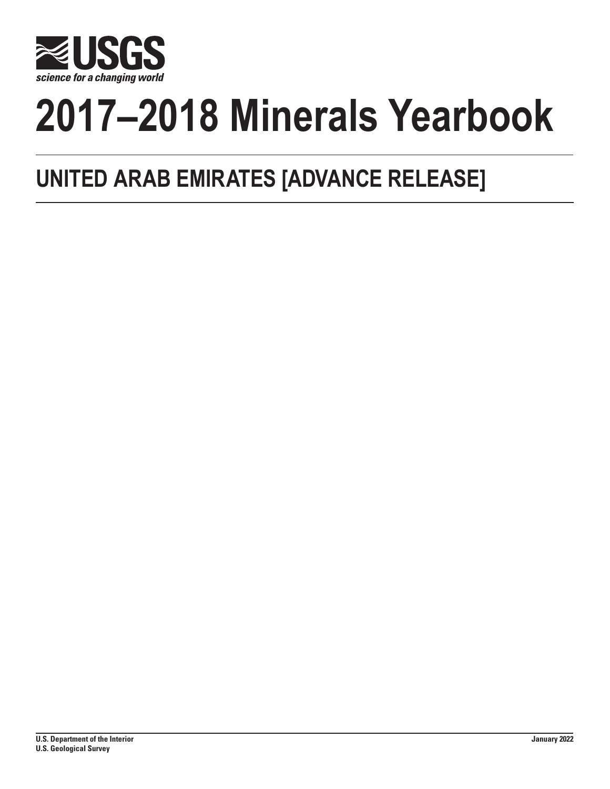

# **2017–2018 Minerals Yearbook**

## **UNITED ARAB EMIRATES [ADVANCE RELEASE]**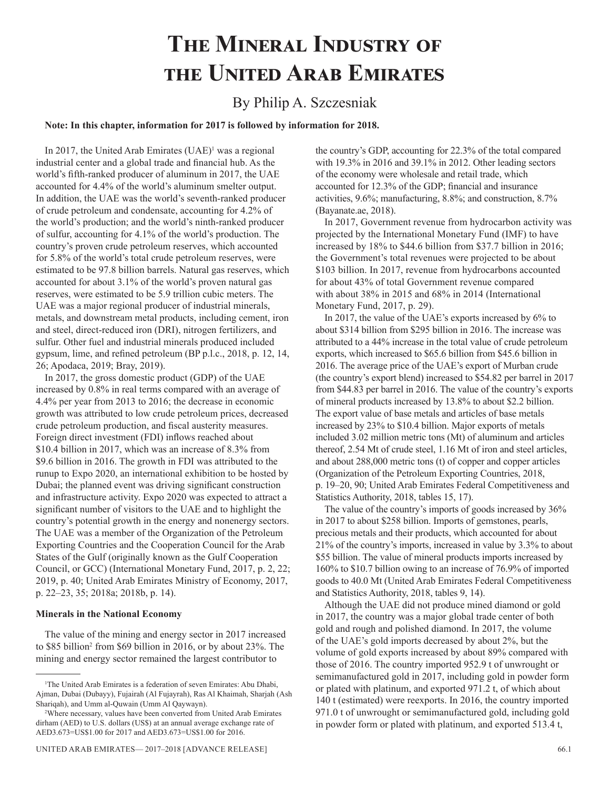## **The Mineral Industry of the United Arab Emirates**

### By Philip A. Szczesniak

**Note: In this chapter, information for 2017 is followed by information for 2018.**

In 2017, the United Arab Emirates (UAE)<sup>1</sup> was a regional industrial center and a global trade and financial hub. As the world's fifth-ranked producer of aluminum in 2017, the UAE accounted for 4.4% of the world's aluminum smelter output. In addition, the UAE was the world's seventh-ranked producer of crude petroleum and condensate, accounting for 4.2% of the world's production; and the world's ninth-ranked producer of sulfur, accounting for 4.1% of the world's production. The country's proven crude petroleum reserves, which accounted for 5.8% of the world's total crude petroleum reserves, were estimated to be 97.8 billion barrels. Natural gas reserves, which accounted for about 3.1% of the world's proven natural gas reserves, were estimated to be 5.9 trillion cubic meters. The UAE was a major regional producer of industrial minerals, metals, and downstream metal products, including cement, iron and steel, direct-reduced iron (DRI), nitrogen fertilizers, and sulfur. Other fuel and industrial minerals produced included gypsum, lime, and refined petroleum (BP p.l.c., 2018, p. 12, 14, 26; Apodaca, 2019; Bray, 2019).

In 2017, the gross domestic product (GDP) of the UAE increased by 0.8% in real terms compared with an average of 4.4% per year from 2013 to 2016; the decrease in economic growth was attributed to low crude petroleum prices, decreased crude petroleum production, and fiscal austerity measures. Foreign direct investment (FDI) inflows reached about \$10.4 billion in 2017, which was an increase of 8.3% from \$9.6 billion in 2016. The growth in FDI was attributed to the runup to Expo 2020, an international exhibition to be hosted by Dubai; the planned event was driving significant construction and infrastructure activity. Expo 2020 was expected to attract a significant number of visitors to the UAE and to highlight the country's potential growth in the energy and nonenergy sectors. The UAE was a member of the Organization of the Petroleum Exporting Countries and the Cooperation Council for the Arab States of the Gulf (originally known as the Gulf Cooperation Council, or GCC) (International Monetary Fund, 2017, p. 2, 22; 2019, p. 40; United Arab Emirates Ministry of Economy, 2017, p. 22–23, 35; 2018a; 2018b, p. 14).

#### **Minerals in the National Economy**

The value of the mining and energy sector in 2017 increased to \$85 billion<sup>2</sup> from \$69 billion in 2016, or by about 23%. The mining and energy sector remained the largest contributor to

the country's GDP, accounting for 22.3% of the total compared with 19.3% in 2016 and 39.1% in 2012. Other leading sectors of the economy were wholesale and retail trade, which accounted for 12.3% of the GDP; financial and insurance activities, 9.6%; manufacturing, 8.8%; and construction, 8.7% (Bayanate.ae, 2018).

In 2017, Government revenue from hydrocarbon activity was projected by the International Monetary Fund (IMF) to have increased by 18% to \$44.6 billion from \$37.7 billion in 2016; the Government's total revenues were projected to be about \$103 billion. In 2017, revenue from hydrocarbons accounted for about 43% of total Government revenue compared with about 38% in 2015 and 68% in 2014 (International Monetary Fund, 2017, p. 29).

In 2017, the value of the UAE's exports increased by 6% to about \$314 billion from \$295 billion in 2016. The increase was attributed to a 44% increase in the total value of crude petroleum exports, which increased to \$65.6 billion from \$45.6 billion in 2016. The average price of the UAE's export of Murban crude (the country's export blend) increased to \$54.82 per barrel in 2017 from \$44.83 per barrel in 2016. The value of the country's exports of mineral products increased by 13.8% to about \$2.2 billion. The export value of base metals and articles of base metals increased by 23% to \$10.4 billion. Major exports of metals included 3.02 million metric tons (Mt) of aluminum and articles thereof, 2.54 Mt of crude steel, 1.16 Mt of iron and steel articles, and about 288,000 metric tons (t) of copper and copper articles (Organization of the Petroleum Exporting Countries, 2018, p. 19–20, 90; United Arab Emirates Federal Competitiveness and Statistics Authority, 2018, tables 15, 17).

The value of the country's imports of goods increased by 36% in 2017 to about \$258 billion. Imports of gemstones, pearls, precious metals and their products, which accounted for about 21% of the country's imports, increased in value by 3.3% to about \$55 billion. The value of mineral products imports increased by 160% to \$10.7 billion owing to an increase of 76.9% of imported goods to 40.0 Mt (United Arab Emirates Federal Competitiveness and Statistics Authority, 2018, tables 9, 14).

Although the UAE did not produce mined diamond or gold in 2017, the country was a major global trade center of both gold and rough and polished diamond. In 2017, the volume of the UAE's gold imports decreased by about 2%, but the volume of gold exports increased by about 89% compared with those of 2016. The country imported 952.9 t of unwrought or semimanufactured gold in 2017, including gold in powder form or plated with platinum, and exported 971.2 t, of which about 140 t (estimated) were reexports. In 2016, the country imported 971.0 t of unwrought or semimanufactured gold, including gold in powder form or plated with platinum, and exported 513.4 t,

<sup>1</sup> The United Arab Emirates is a federation of seven Emirates: Abu Dhabi, Ajman, Dubai (Dubayy), Fujairah (Al Fujayrah), Ras Al Khaimah, Sharjah (Ash Shariqah), and Umm al-Quwain (Umm Al Qaywayn).

<sup>2</sup> Where necessary, values have been converted from United Arab Emirates dirham (AED) to U.S. dollars (US\$) at an annual average exchange rate of AED3.673=US\$1.00 for 2017 and AED3.673=US\$1.00 for 2016.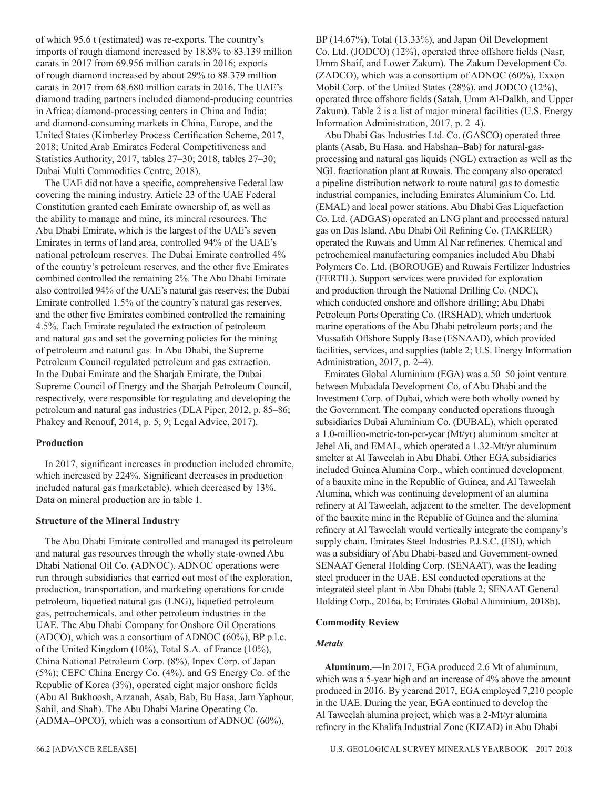of which 95.6 t (estimated) was re-exports. The country's imports of rough diamond increased by 18.8% to 83.139 million carats in 2017 from 69.956 million carats in 2016; exports of rough diamond increased by about 29% to 88.379 million carats in 2017 from 68.680 million carats in 2016. The UAE's diamond trading partners included diamond-producing countries in Africa; diamond-processing centers in China and India; and diamond-consuming markets in China, Europe, and the United States (Kimberley Process Certification Scheme, 2017, 2018; United Arab Emirates Federal Competitiveness and Statistics Authority, 2017, tables 27–30; 2018, tables 27–30; Dubai Multi Commodities Centre, 2018).

The UAE did not have a specific, comprehensive Federal law covering the mining industry. Article 23 of the UAE Federal Constitution granted each Emirate ownership of, as well as the ability to manage and mine, its mineral resources. The Abu Dhabi Emirate, which is the largest of the UAE's seven Emirates in terms of land area, controlled 94% of the UAE's national petroleum reserves. The Dubai Emirate controlled 4% of the country's petroleum reserves, and the other five Emirates combined controlled the remaining 2%. The Abu Dhabi Emirate also controlled 94% of the UAE's natural gas reserves; the Dubai Emirate controlled 1.5% of the country's natural gas reserves, and the other five Emirates combined controlled the remaining 4.5%. Each Emirate regulated the extraction of petroleum and natural gas and set the governing policies for the mining of petroleum and natural gas. In Abu Dhabi, the Supreme Petroleum Council regulated petroleum and gas extraction. In the Dubai Emirate and the Sharjah Emirate, the Dubai Supreme Council of Energy and the Sharjah Petroleum Council, respectively, were responsible for regulating and developing the petroleum and natural gas industries (DLA Piper, 2012, p. 85–86; Phakey and Renouf, 2014, p. 5, 9; Legal Advice, 2017).

#### **Production**

In 2017, significant increases in production included chromite, which increased by 224%. Significant decreases in production included natural gas (marketable), which decreased by 13%. Data on mineral production are in table 1.

#### **Structure of the Mineral Industry**

The Abu Dhabi Emirate controlled and managed its petroleum and natural gas resources through the wholly state-owned Abu Dhabi National Oil Co. (ADNOC). ADNOC operations were run through subsidiaries that carried out most of the exploration, production, transportation, and marketing operations for crude petroleum, liquefied natural gas (LNG), liquefied petroleum gas, petrochemicals, and other petroleum industries in the UAE. The Abu Dhabi Company for Onshore Oil Operations (ADCO), which was a consortium of ADNOC (60%), BP p.l.c. of the United Kingdom (10%), Total S.A. of France (10%), China National Petroleum Corp. (8%), Inpex Corp. of Japan (5%); CEFC China Energy Co. (4%), and GS Energy Co. of the Republic of Korea (3%), operated eight major onshore fields (Abu Al Bukhoosh, Arzanah, Asab, Bab, Bu Hasa, Jarn Yaphour, Sahil, and Shah). The Abu Dhabi Marine Operating Co. (ADMA–OPCO), which was a consortium of ADNOC (60%),

Abu Dhabi Gas Industries Ltd. Co. (GASCO) operated three plants (Asab, Bu Hasa, and Habshan–Bab) for natural-gasprocessing and natural gas liquids (NGL) extraction as well as the NGL fractionation plant at Ruwais. The company also operated a pipeline distribution network to route natural gas to domestic industrial companies, including Emirates Aluminium Co. Ltd. (EMAL) and local power stations. Abu Dhabi Gas Liquefaction Co. Ltd. (ADGAS) operated an LNG plant and processed natural gas on Das Island. Abu Dhabi Oil Refining Co. (TAKREER) operated the Ruwais and Umm Al Nar refineries. Chemical and petrochemical manufacturing companies included Abu Dhabi Polymers Co. Ltd. (BOROUGE) and Ruwais Fertilizer Industries (FERTIL). Support services were provided for exploration and production through the National Drilling Co. (NDC), which conducted onshore and offshore drilling; Abu Dhabi Petroleum Ports Operating Co. (IRSHAD), which undertook marine operations of the Abu Dhabi petroleum ports; and the Mussafah Offshore Supply Base (ESNAAD), which provided facilities, services, and supplies (table 2; U.S. Energy Information Administration, 2017, p. 2–4).

Emirates Global Aluminium (EGA) was a 50–50 joint venture between Mubadala Development Co. of Abu Dhabi and the Investment Corp. of Dubai, which were both wholly owned by the Government. The company conducted operations through subsidiaries Dubai Aluminium Co. (DUBAL), which operated a 1.0-million-metric-ton-per-year (Mt/yr) aluminum smelter at Jebel Ali, and EMAL, which operated a 1.32-Mt/yr aluminum smelter at Al Taweelah in Abu Dhabi. Other EGA subsidiaries included Guinea Alumina Corp., which continued development of a bauxite mine in the Republic of Guinea, and Al Taweelah Alumina, which was continuing development of an alumina refinery at Al Taweelah, adjacent to the smelter. The development of the bauxite mine in the Republic of Guinea and the alumina refinery at Al Taweelah would vertically integrate the company's supply chain. Emirates Steel Industries P.J.S.C. (ESI), which was a subsidiary of Abu Dhabi-based and Government-owned SENAAT General Holding Corp. (SENAAT), was the leading steel producer in the UAE. ESI conducted operations at the integrated steel plant in Abu Dhabi (table 2; SENAAT General Holding Corp., 2016a, b; Emirates Global Aluminium, 2018b).

#### **Commodity Review**

#### *Metals*

**Aluminum.**—In 2017, EGA produced 2.6 Mt of aluminum, which was a 5-year high and an increase of 4% above the amount produced in 2016. By yearend 2017, EGA employed 7,210 people in the UAE. During the year, EGA continued to develop the Al Taweelah alumina project, which was a 2-Mt/yr alumina refinery in the Khalifa Industrial Zone (KIZAD) in Abu Dhabi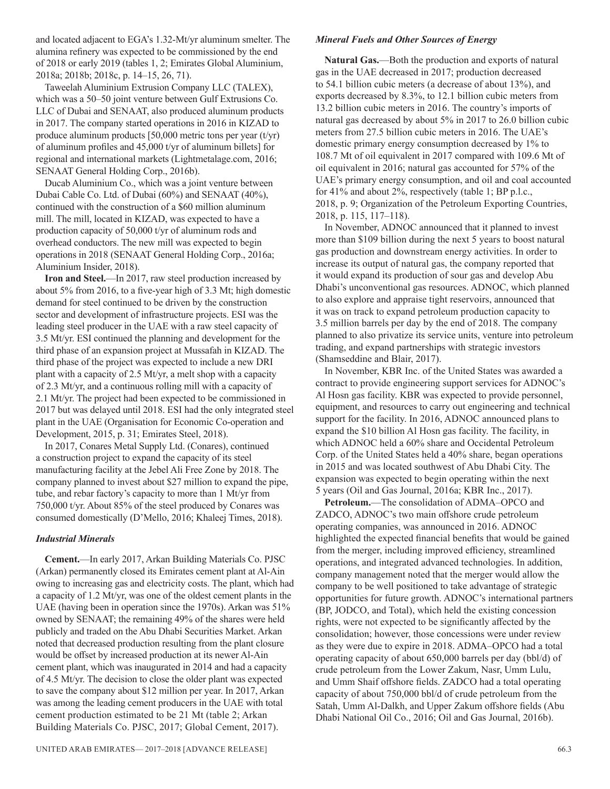and located adjacent to EGA's 1.32-Mt/yr aluminum smelter. The alumina refinery was expected to be commissioned by the end of 2018 or early 2019 (tables 1, 2; Emirates Global Aluminium, 2018a; 2018b; 2018c, p. 14–15, 26, 71).

Taweelah Aluminium Extrusion Company LLC (TALEX), which was a 50–50 joint venture between Gulf Extrusions Co. LLC of Dubai and SENAAT, also produced aluminum products in 2017. The company started operations in 2016 in KIZAD to produce aluminum products  $[50,000$  metric tons per year (t/yr) of aluminum profiles and 45,000 t/yr of aluminum billets] for regional and international markets (Lightmetalage.com, 2016; SENAAT General Holding Corp., 2016b).

Ducab Aluminium Co., which was a joint venture between Dubai Cable Co. Ltd. of Dubai (60%) and SENAAT (40%), continued with the construction of a \$60 million aluminum mill. The mill, located in KIZAD, was expected to have a production capacity of 50,000 t/yr of aluminum rods and overhead conductors. The new mill was expected to begin operations in 2018 (SENAAT General Holding Corp., 2016a; Aluminium Insider, 2018).

**Iron and Steel.**—In 2017, raw steel production increased by about 5% from 2016, to a five-year high of 3.3 Mt; high domestic demand for steel continued to be driven by the construction sector and development of infrastructure projects. ESI was the leading steel producer in the UAE with a raw steel capacity of 3.5 Mt/yr. ESI continued the planning and development for the third phase of an expansion project at Mussafah in KIZAD. The third phase of the project was expected to include a new DRI plant with a capacity of 2.5 Mt/yr, a melt shop with a capacity of 2.3 Mt/yr, and a continuous rolling mill with a capacity of 2.1 Mt/yr. The project had been expected to be commissioned in 2017 but was delayed until 2018. ESI had the only integrated steel plant in the UAE (Organisation for Economic Co-operation and Development, 2015, p. 31; Emirates Steel, 2018).

In 2017, Conares Metal Supply Ltd. (Conares), continued a construction project to expand the capacity of its steel manufacturing facility at the Jebel Ali Free Zone by 2018. The company planned to invest about \$27 million to expand the pipe, tube, and rebar factory's capacity to more than 1 Mt/yr from 750,000 t/yr. About 85% of the steel produced by Conares was consumed domestically (D'Mello, 2016; Khaleej Times, 2018).

#### *Industrial Minerals*

**Cement.**—In early 2017, Arkan Building Materials Co. PJSC (Arkan) permanently closed its Emirates cement plant at Al-Ain owing to increasing gas and electricity costs. The plant, which had a capacity of 1.2 Mt/yr, was one of the oldest cement plants in the UAE (having been in operation since the 1970s). Arkan was 51% owned by SENAAT; the remaining 49% of the shares were held publicly and traded on the Abu Dhabi Securities Market. Arkan noted that decreased production resulting from the plant closure would be offset by increased production at its newer Al-Ain cement plant, which was inaugurated in 2014 and had a capacity of 4.5 Mt/yr. The decision to close the older plant was expected to save the company about \$12 million per year. In 2017, Arkan was among the leading cement producers in the UAE with total cement production estimated to be 21 Mt (table 2; Arkan Building Materials Co. PJSC, 2017; Global Cement, 2017).

#### *Mineral Fuels and Other Sources of Energy*

**Natural Gas.**—Both the production and exports of natural gas in the UAE decreased in 2017; production decreased to 54.1 billion cubic meters (a decrease of about 13%), and exports decreased by 8.3%, to 12.1 billion cubic meters from 13.2 billion cubic meters in 2016. The country's imports of natural gas decreased by about 5% in 2017 to 26.0 billion cubic meters from 27.5 billion cubic meters in 2016. The UAE's domestic primary energy consumption decreased by 1% to 108.7 Mt of oil equivalent in 2017 compared with 109.6 Mt of oil equivalent in 2016; natural gas accounted for 57% of the UAE's primary energy consumption, and oil and coal accounted for 41% and about 2%, respectively (table 1; BP p.l.c., 2018, p. 9; Organization of the Petroleum Exporting Countries, 2018, p. 115, 117–118).

In November, ADNOC announced that it planned to invest more than \$109 billion during the next 5 years to boost natural gas production and downstream energy activities. In order to increase its output of natural gas, the company reported that it would expand its production of sour gas and develop Abu Dhabi's unconventional gas resources. ADNOC, which planned to also explore and appraise tight reservoirs, announced that it was on track to expand petroleum production capacity to 3.5 million barrels per day by the end of 2018. The company planned to also privatize its service units, venture into petroleum trading, and expand partnerships with strategic investors (Shamseddine and Blair, 2017).

In November, KBR Inc. of the United States was awarded a contract to provide engineering support services for ADNOC's Al Hosn gas facility. KBR was expected to provide personnel, equipment, and resources to carry out engineering and technical support for the facility. In 2016, ADNOC announced plans to expand the \$10 billion Al Hosn gas facility. The facility, in which ADNOC held a 60% share and Occidental Petroleum Corp. of the United States held a 40% share, began operations in 2015 and was located southwest of Abu Dhabi City. The expansion was expected to begin operating within the next 5 years (Oil and Gas Journal, 2016a; KBR Inc., 2017).

**Petroleum.**—The consolidation of ADMA–OPCO and ZADCO, ADNOC's two main offshore crude petroleum operating companies, was announced in 2016. ADNOC highlighted the expected financial benefits that would be gained from the merger, including improved efficiency, streamlined operations, and integrated advanced technologies. In addition, company management noted that the merger would allow the company to be well positioned to take advantage of strategic opportunities for future growth. ADNOC's international partners (BP, JODCO, and Total), which held the existing concession rights, were not expected to be significantly affected by the consolidation; however, those concessions were under review as they were due to expire in 2018. ADMA–OPCO had a total operating capacity of about 650,000 barrels per day (bbl/d) of crude petroleum from the Lower Zakum, Nasr, Umm Lulu, and Umm Shaif offshore fields. ZADCO had a total operating capacity of about 750,000 bbl/d of crude petroleum from the Satah, Umm Al-Dalkh, and Upper Zakum offshore fields (Abu Dhabi National Oil Co., 2016; Oil and Gas Journal, 2016b).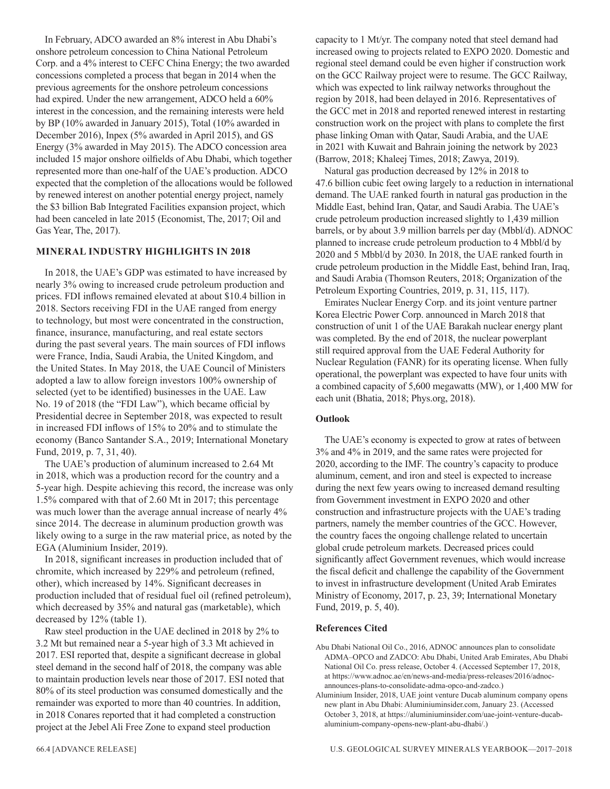In February, ADCO awarded an 8% interest in Abu Dhabi's onshore petroleum concession to China National Petroleum Corp. and a 4% interest to CEFC China Energy; the two awarded concessions completed a process that began in 2014 when the previous agreements for the onshore petroleum concessions had expired. Under the new arrangement, ADCO held a 60% interest in the concession, and the remaining interests were held by BP (10% awarded in January 2015), Total (10% awarded in December 2016), Inpex (5% awarded in April 2015), and GS Energy (3% awarded in May 2015). The ADCO concession area included 15 major onshore oilfields of Abu Dhabi, which together represented more than one-half of the UAE's production. ADCO expected that the completion of the allocations would be followed by renewed interest on another potential energy project, namely the \$3 billion Bab Integrated Facilities expansion project, which had been canceled in late 2015 (Economist, The, 2017; Oil and Gas Year, The, 2017).

#### **MINERAL INDUSTRY HIGHLIGHTS IN 2018**

In 2018, the UAE's GDP was estimated to have increased by nearly 3% owing to increased crude petroleum production and prices. FDI inflows remained elevated at about \$10.4 billion in 2018. Sectors receiving FDI in the UAE ranged from energy to technology, but most were concentrated in the construction, finance, insurance, manufacturing, and real estate sectors during the past several years. The main sources of FDI inflows were France, India, Saudi Arabia, the United Kingdom, and the United States. In May 2018, the UAE Council of Ministers adopted a law to allow foreign investors 100% ownership of selected (yet to be identified) businesses in the UAE. Law No. 19 of 2018 (the "FDI Law"), which became official by Presidential decree in September 2018, was expected to result in increased FDI inflows of 15% to 20% and to stimulate the economy (Banco Santander S.A., 2019; International Monetary Fund, 2019, p. 7, 31, 40).

The UAE's production of aluminum increased to 2.64 Mt in 2018, which was a production record for the country and a 5-year high. Despite achieving this record, the increase was only 1.5% compared with that of 2.60 Mt in 2017; this percentage was much lower than the average annual increase of nearly  $4\%$ since 2014. The decrease in aluminum production growth was likely owing to a surge in the raw material price, as noted by the EGA (Aluminium Insider, 2019).

In 2018, significant increases in production included that of chromite, which increased by 229% and petroleum (refined, other), which increased by 14%. Significant decreases in production included that of residual fuel oil (refined petroleum), which decreased by 35% and natural gas (marketable), which decreased by 12% (table 1).

Raw steel production in the UAE declined in 2018 by 2% to 3.2 Mt but remained near a 5-year high of 3.3 Mt achieved in 2017. ESI reported that, despite a significant decrease in global steel demand in the second half of 2018, the company was able to maintain production levels near those of 2017. ESI noted that 80% of its steel production was consumed domestically and the remainder was exported to more than 40 countries. In addition, in 2018 Conares reported that it had completed a construction project at the Jebel Ali Free Zone to expand steel production

capacity to 1 Mt/yr. The company noted that steel demand had increased owing to projects related to EXPO 2020. Domestic and regional steel demand could be even higher if construction work on the GCC Railway project were to resume. The GCC Railway, which was expected to link railway networks throughout the region by 2018, had been delayed in 2016. Representatives of the GCC met in 2018 and reported renewed interest in restarting construction work on the project with plans to complete the first phase linking Oman with Qatar, Saudi Arabia, and the UAE in 2021 with Kuwait and Bahrain joining the network by 2023 (Barrow, 2018; Khaleej Times, 2018; Zawya, 2019).

Natural gas production decreased by 12% in 2018 to 47.6 billion cubic feet owing largely to a reduction in international demand. The UAE ranked fourth in natural gas production in the Middle East, behind Iran, Qatar, and Saudi Arabia. The UAE's crude petroleum production increased slightly to 1,439 million barrels, or by about 3.9 million barrels per day (Mbbl/d). ADNOC planned to increase crude petroleum production to 4 Mbbl/d by 2020 and 5 Mbbl/d by 2030. In 2018, the UAE ranked fourth in crude petroleum production in the Middle East, behind Iran, Iraq, and Saudi Arabia (Thomson Reuters, 2018; Organization of the Petroleum Exporting Countries, 2019, p. 31, 115, 117).

Emirates Nuclear Energy Corp. and its joint venture partner Korea Electric Power Corp. announced in March 2018 that construction of unit 1 of the UAE Barakah nuclear energy plant was completed. By the end of 2018, the nuclear powerplant still required approval from the UAE Federal Authority for Nuclear Regulation (FANR) for its operating license. When fully operational, the powerplant was expected to have four units with a combined capacity of 5,600 megawatts (MW), or 1,400 MW for each unit (Bhatia, 2018; Phys.org, 2018).

#### **Outlook**

The UAE's economy is expected to grow at rates of between 3% and 4% in 2019, and the same rates were projected for 2020, according to the IMF. The country's capacity to produce aluminum, cement, and iron and steel is expected to increase during the next few years owing to increased demand resulting from Government investment in EXPO 2020 and other construction and infrastructure projects with the UAE's trading partners, namely the member countries of the GCC. However, the country faces the ongoing challenge related to uncertain global crude petroleum markets. Decreased prices could significantly affect Government revenues, which would increase the fiscal deficit and challenge the capability of the Government to invest in infrastructure development (United Arab Emirates Ministry of Economy, 2017, p. 23, 39; International Monetary Fund, 2019, p. 5, 40).

#### **References Cited**

Abu Dhabi National Oil Co., 2016, ADNOC announces plan to consolidate ADMA–OPCO and ZADCO: Abu Dhabi, United Arab Emirates, Abu Dhabi National Oil Co. press release, October 4. (Accessed September 17, 2018, at https://www.adnoc.ae/en/news-and-media/press-releases/2016/adnocannounces-plans-to-consolidate-adma-opco-and-zadco.)

Aluminium Insider, 2018, UAE joint venture Ducab aluminum company opens new plant in Abu Dhabi: Aluminiuminsider.com, January 23. (Accessed October 3, 2018, at https://aluminiuminsider.com/uae-joint-venture-ducabaluminium-company-opens-new-plant-abu-dhabi/.)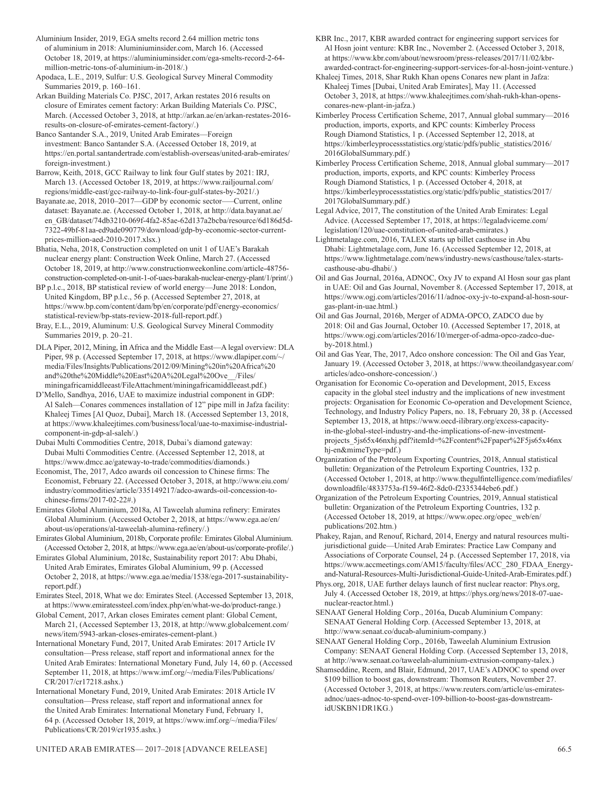Aluminium Insider, 2019, EGA smelts record 2.64 million metric tons of aluminium in 2018: Aluminiuminsider.com, March 16. (Accessed October 18, 2019, at https://aluminiuminsider.com/ega-smelts-record-2-64 million-metric-tons-of-aluminium-in-2018/.)

Apodaca, L.E., 2019, Sulfur: U.S. Geological Survey Mineral Commodity Summaries 2019, p. 160–161.

Arkan Building Materials Co. PJSC, 2017, Arkan restates 2016 results on closure of Emirates cement factory: Arkan Building Materials Co. PJSC, March. (Accessed October 3, 2018, at http://arkan.ae/en/arkan-restates-2016 results-on-closure-of-emirates-cement-factory/.)

Banco Santander S.A., 2019, United Arab Emirates—Foreign investment: Banco Santander S.A. (Accessed October 18, 2019, at https://en.portal.santandertrade.com/establish-overseas/united-arab-emirates/ foreign-investment.)

Barrow, Keith, 2018, GCC Railway to link four Gulf states by 2021: IRJ, March 13. (Accessed October 18, 2019, at https://www.railjournal.com/ regions/middle-east/gcc-railway-to-link-four-gulf-states-by-2021/.)

Bayanate.ae, 2018, 2010–2017—GDP by economic sector–—Current, online dataset: Bayanate.ae. (Accessed October 1, 2018, at http://data.bayanat.ae/ en\_GB/dataset/74db3210-069f-4fa2-85ae-62d137a2bcba/resource/6d186d5d-7322-49bf-81aa-ed9ade090779/download/gdp-by-economic-sector-currentprices-million-aed-2010-2017.xlsx.)

Bhatia, Neha, 2018, Construction completed on unit 1 of UAE's Barakah nuclear energy plant: Construction Week Online, March 27. (Accessed October 18, 2019, at http://www.constructionweekonline.com/article-48756 construction-completed-on-unit-1-of-uaes-barakah-nuclear-energy-plant/1/print/.)

BP p.l.c., 2018, BP statistical review of world energy—June 2018: London, United Kingdom, BP p.l.c., 56 p. (Accessed September 27, 2018, at https://www.bp.com/content/dam/bp/en/corporate/pdf/energy-economics/ statistical-review/bp-stats-review-2018-full-report.pdf.)

Bray, E.L., 2019, Aluminum: U.S. Geological Survey Mineral Commodity Summaries 2019, p. 20–21.

DLA Piper, 2012, Mining, in Africa and the Middle East—A legal overview: DLA Piper, 98 p. (Accessed September 17, 2018, at https://www.dlapiper.com/~/ media/Files/Insights/Publications/2012/09/Mining%20in%20Africa%20 and%20the%20Middle%20East%20A%20Legal%20Ove\_\_/Files/ miningafricamiddleeast/FileAttachment/miningafricamiddleeast.pdf.)

D'Mello, Sandhya, 2016, UAE to maximize industrial component in GDP: Al Saleh—Conares commences installation of 12" pipe mill in Jafza facility: Khaleej Times [Al Quoz, Dubai], March 18. (Accessed September 13, 2018, at https://www.khaleejtimes.com/business/local/uae-to-maximise-industrialcomponent-in-gdp-al-saleh/.)

Dubai Multi Commodities Centre, 2018, Dubai's diamond gateway: Dubai Multi Commodities Centre. (Accessed September 12, 2018, at https://www.dmcc.ae/gateway-to-trade/commodities/diamonds.)

Economist, The, 2017, Adco awards oil concession to Chinese firms: The Economist, February 22. (Accessed October 3, 2018, at http://www.eiu.com/ industry/commodities/article/335149217/adco-awards-oil-concession-tochinese-firms/2017-02-22#.)

Emirates Global Aluminium, 2018a, Al Taweelah alumina refinery: Emirates Global Aluminium. (Accessed October 2, 2018, at https://www.ega.ae/en/ about-us/operations/al-taweelah-alumina-refinery/.)

Emirates Global Aluminium, 2018b, Corporate profile: Emirates Global Aluminium. (Accessed October 2, 2018, at https://www.ega.ae/en/about-us/corporate-profile/.)

Emirates Global Aluminium, 2018c, Sustainability report 2017: Abu Dhabi, United Arab Emirates, Emirates Global Aluminium, 99 p. (Accessed October 2, 2018, at https://www.ega.ae/media/1538/ega-2017-sustainabilityreport.pdf.)

Emirates Steel, 2018, What we do: Emirates Steel. (Accessed September 13, 2018, at https://www.emiratessteel.com/index.php/en/what-we-do/product-range.)

Global Cement, 2017, Arkan closes Emirates cement plant: Global Cement, March 21, (Accessed September 13, 2018, at http://www.globalcement.com/ news/item/5943-arkan-closes-emirates-cement-plant.)

International Monetary Fund, 2017, United Arab Emirates: 2017 Article IV consultation—Press release, staff report and informational annex for the United Arab Emirates: International Monetary Fund, July 14, 60 p. (Accessed September 11, 2018, at https://www.imf.org/~/media/Files/Publications/ CR/2017/cr17218.ashx.)

International Monetary Fund, 2019, United Arab Emirates: 2018 Article IV consultation—Press release, staff report and informational annex for the United Arab Emirates: International Monetary Fund, February 1, 64 p. (Accessed October 18, 2019, at https://www.imf.org/~/media/Files/ Publications/CR/2019/cr1935.ashx.)

KBR Inc., 2017, KBR awarded contract for engineering support services for Al Hosn joint venture: KBR Inc., November 2. (Accessed October 3, 2018, at https://www.kbr.com/about/newsroom/press-releases/2017/11/02/kbrawarded-contract-for-engineering-support-services-for-al-hosn-joint-venture.)

Khaleej Times, 2018, Shar Rukh Khan opens Conares new plant in Jafza: Khaleej Times [Dubai, United Arab Emirates], May 11. (Accessed October 3, 2018, at https://www.khaleejtimes.com/shah-rukh-khan-opensconares-new-plant-in-jafza.)

Kimberley Process Certification Scheme, 2017, Annual global summary—2016 production, imports, exports, and KPC counts: Kimberley Process Rough Diamond Statistics, 1 p. (Accessed September 12, 2018, at https://kimberleyprocessstatistics.org/static/pdfs/public\_statistics/2016/ 2016GlobalSummary.pdf.)

Kimberley Process Certification Scheme, 2018, Annual global summary—2017 production, imports, exports, and KPC counts: Kimberley Process Rough Diamond Statistics, 1 p. (Accessed October 4, 2018, at https://kimberleyprocessstatistics.org/static/pdfs/public\_statistics/2017/ 2017GlobalSummary.pdf.)

Legal Advice, 2017, The constitution of the United Arab Emirates: Legal Advice. (Accessed September 17, 2018, at https://legaladviceme.com/ legislation/120/uae-constitution-of-united-arab-emirates.)

Lightmetalage.com, 2016, TALEX starts up billet casthouse in Abu Dhabi: Lightmetalage.com, June 16. (Accessed September 12, 2018, at https://www.lightmetalage.com/news/industry-news/casthouse/talex-startscasthouse-abu-dhabi/.)

Oil and Gas Journal, 2016a, ADNOC, Oxy JV to expand Al Hosn sour gas plant in UAE: Oil and Gas Journal, November 8. (Accessed September 17, 2018, at https://www.ogj.com/articles/2016/11/adnoc-oxy-jv-to-expand-al-hosn-sourgas-plant-in-uae.html.)

Oil and Gas Journal, 2016b, Merger of ADMA-OPCO, ZADCO due by 2018: Oil and Gas Journal, October 10. (Accessed September 17, 2018, at https://www.ogj.com/articles/2016/10/merger-of-adma-opco-zadco-dueby-2018.html.)

Oil and Gas Year, The, 2017, Adco onshore concession: The Oil and Gas Year, January 19. (Accessed October 3, 2018, at https://www.theoilandgasyear.com/ articles/adco-onshore-concession/.)

Organisation for Economic Co-operation and Development, 2015, Excess capacity in the global steel industry and the implications of new investment projects: Organisation for Economic Co-operation and Development Science, Technology, and Industry Policy Papers, no. 18, February 20, 38 p. (Accessed September 13, 2018, at https://www.oecd-ilibrary.org/excess-capacityin-the-global-steel-industry-and-the-implications-of-new-investmentprojects\_5js65x46nxhj.pdf?itemId=%2Fcontent%2Fpaper%2F5js65x46nx hj-en&mimeType=pdf.)

Organization of the Petroleum Exporting Countries, 2018, Annual statistical bulletin: Organization of the Petroleum Exporting Countries, 132 p. (Accessed October 1, 2018, at http://www.thegulfintelligence.com/mediafiles/ downloadfile/4833753a-f159-46f2-8dc0-f2335344ebe6.pdf.)

Organization of the Petroleum Exporting Countries, 2019, Annual statistical bulletin: Organization of the Petroleum Exporting Countries, 132 p. (Accessed October 18, 2019, at https://www.opec.org/opec\_web/en/ publications/202.htm.)

Phakey, Rajan, and Renouf, Richard, 2014, Energy and natural resources multijurisdictional guide—United Arab Emirates: Practice Law Company and Associations of Corporate Counsel, 24 p. (Accessed September 17, 2018, via https://www.accmeetings.com/AM15/faculty/files/ACC\_280\_FDAA\_Energyand-Natural-Resources-Multi-Jurisdictional-Guide-United-Arab-Emirates.pdf.)

Phys.org, 2018, UAE further delays launch of first nuclear reactor: Phys.org, July 4. (Accessed October 18, 2019, at https://phys.org/news/2018-07-uaenuclear-reactor.html.)

SENAAT General Holding Corp., 2016a, Ducab Aluminium Company: SENAAT General Holding Corp. (Accessed September 13, 2018, at http://www.senaat.co/ducab-aluminium-company.)

SENAAT General Holding Corp., 2016b, Taweelah Aluminium Extrusion Company: SENAAT General Holding Corp. (Accessed September 13, 2018, at http://www.senaat.co/taweelah-aluminium-extrusion-company-talex.)

Shamseddine, Reem, and Blair, Edmund, 2017, UAE's ADNOC to spend over \$109 billion to boost gas, downstream: Thomson Reuters, November 27. (Accessed October 3, 2018, at https://www.reuters.com/article/us-emiratesadnoc/uaes-adnoc-to-spend-over-109-billion-to-boost-gas-downstreamidUSKBN1DR1KG.)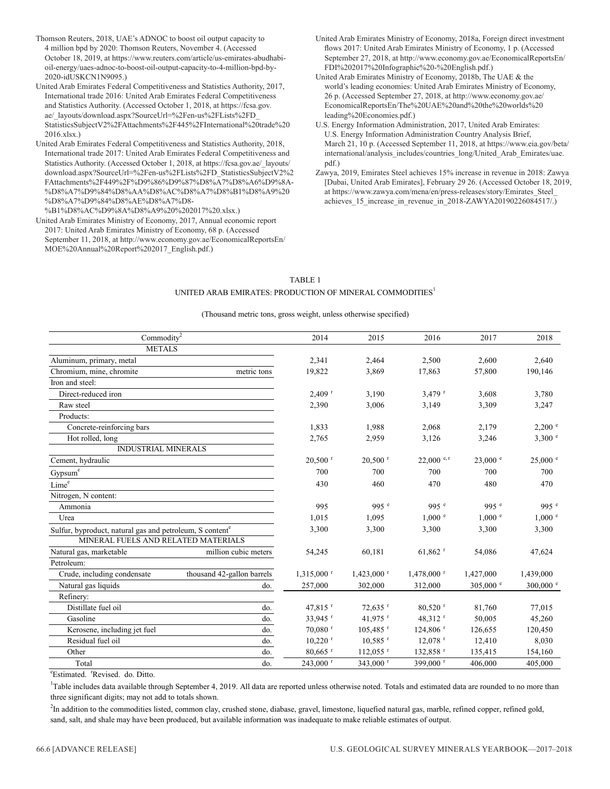- Thomson Reuters, 2018, UAE's ADNOC to boost oil output capacity to 4 million bpd by 2020: Thomson Reuters, November 4. (Accessed October 18, 2019, at https://www.reuters.com/article/us-emirates-abudhabioil-energy/uaes-adnoc-to-boost-oil-output-capacity-to-4-million-bpd-by-2020-idUSKCN1N9095.)
- United Arab Emirates Federal Competitiveness and Statistics Authority, 2017, International trade 2016: United Arab Emirates Federal Competitiveness and Statistics Authority. (Accessed October 1, 2018, at https://fcsa.gov. ae/\_layouts/download.aspx?SourceUrl=%2Fen-us%2FLists%2FD\_ StatisticsSubjectV2%2FAttachments%2F445%2FInternational%20trade%20 2016.xlsx.)
- United Arab Emirates Federal Competitiveness and Statistics Authority, 2018, International trade 2017: United Arab Emirates Federal Competitiveness and Statistics Authority. (Accessed October 1, 2018, at https://fcsa.gov.ae/\_layouts/ download.aspx?SourceUrl=%2Fen-us%2FLists%2FD\_StatisticsSubjectV2%2 FAttachments%2F449%2F%D9%86%D9%87%D8%A7%D8%A6%D9%8A- %D8%A7%D9%84%D8%AA%D8%AC%D8%A7%D8%B1%D8%A9%20 %D8%A7%D9%84%D8%AE%D8%A7%D8-
- %B1%D8%AC%D9%8A%D8%A9%20%202017%20.xlsx.) United Arab Emirates Ministry of Economy, 2017, Annual economic report 2017: United Arab Emirates Ministry of Economy, 68 p. (Accessed September 11, 2018, at http://www.economy.gov.ae/EconomicalReportsEn/ MOE%20Annual%20Report%202017\_English.pdf.)
- United Arab Emirates Ministry of Economy, 2018a, Foreign direct investment flows 2017: United Arab Emirates Ministry of Economy, 1 p. (Accessed September 27, 2018, at http://www.economy.gov.ae/EconomicalReportsEn/ FDI%202017%20Infographic%20-%20English.pdf.)
- United Arab Emirates Ministry of Economy, 2018b, The UAE & the world's leading economies: United Arab Emirates Ministry of Economy, 26 p. (Accessed September 27, 2018, at http://www.economy.gov.ae/ EconomicalReportsEn/The%20UAE%20and%20the%20worlds%20 leading%20Economies.pdf.)
- U.S. Energy Information Administration, 2017, United Arab Emirates: U.S. Energy Information Administration Country Analysis Brief, March 21, 10 p. (Accessed September 11, 2018, at https://www.eia.gov/beta/ international/analysis\_includes/countries\_long/United\_Arab\_Emirates/uae. pdf.)
- Zawya, 2019, Emirates Steel achieves 15% increase in revenue in 2018: Zawya [Dubai, United Arab Emirates], February 29 26. (Accessed October 18, 2019, at https://www.zawya.com/mena/en/press-releases/story/Emirates\_Steel\_ achieves\_15\_increase\_in\_revenue\_in\_2018-ZAWYA20190226084517/.)

#### TABLE 1 UNITED ARAB EMIRATES: PRODUCTION OF MINERAL COMMODITIES<sup>1</sup>

#### (Thousand metric tons, gross weight, unless otherwise specified)

| $\mathrm{Commodity}^2$                                               | 2014                       | 2015                     | 2016                     | 2017                     | 2018               |             |
|----------------------------------------------------------------------|----------------------------|--------------------------|--------------------------|--------------------------|--------------------|-------------|
| <b>METALS</b>                                                        |                            |                          |                          |                          |                    |             |
| Aluminum, primary, metal                                             |                            | 2,341                    | 2,464                    | 2,500                    | 2,600              | 2,640       |
| Chromium, mine, chromite                                             | metric tons                | 19,822                   | 3,869                    | 17,863                   | 57,800             | 190,146     |
| Iron and steel:                                                      |                            |                          |                          |                          |                    |             |
| Direct-reduced iron                                                  |                            | $2,409$ <sup>r</sup>     | 3,190                    | $3,479$ <sup>r</sup>     | 3,608              | 3,780       |
| Raw steel                                                            |                            | 2,390                    | 3,006                    | 3,149                    | 3,309              | 3,247       |
| Products:                                                            |                            |                          |                          |                          |                    |             |
| Concrete-reinforcing bars                                            |                            | 1,833                    | 1,988                    | 2,068                    | 2,179              | $2,200$ e   |
| Hot rolled, long                                                     |                            | 2,765                    | 2,959                    | 3,126                    | 3,246              | 3,300 °     |
| <b>INDUSTRIAL MINERALS</b>                                           |                            |                          |                          |                          |                    |             |
| Cement, hydraulic                                                    |                            | $20,500$ <sup>r</sup>    | $20,500$ <sup>r</sup>    | $22,000$ e, r            | $23,000$ $\degree$ | $25,000$ e  |
| Gypsum <sup>e</sup>                                                  |                            | 700                      | 700                      | 700                      | 700                | 700         |
| Lime <sup>e</sup>                                                    |                            | 430                      | 460                      | 470                      | 480                | 470         |
| Nitrogen, N content:                                                 |                            |                          |                          |                          |                    |             |
| Ammonia                                                              |                            | 995                      | 995 $e$                  | 995 $e$                  | 995 $e$            | 995 $e$     |
| Urea                                                                 |                            | 1,015                    | 1,095                    | 1.000 e                  | $1,000$ $e$        | $1,000$ $e$ |
| Sulfur, byproduct, natural gas and petroleum, S content <sup>e</sup> |                            | 3,300                    | 3,300                    | 3,300                    | 3,300              | 3,300       |
| MINERAL FUELS AND RELATED MATERIALS                                  |                            |                          |                          |                          |                    |             |
| Natural gas, marketable                                              | million cubic meters       | 54,245                   | 60,181                   | $61,862$ <sup>r</sup>    | 54,086             | 47,624      |
| Petroleum:                                                           |                            |                          |                          |                          |                    |             |
| Crude, including condensate                                          | thousand 42-gallon barrels | $1,315,000$ <sup>r</sup> | $1,423,000$ <sup>r</sup> | $1,478,000$ <sup>r</sup> | 1,427,000          | 1,439,000   |
| Natural gas liquids                                                  | do.                        | 257,000                  | 302,000                  | 312,000                  | 305,000 $^{\circ}$ | 300,000 °   |
| Refinery:                                                            |                            |                          |                          |                          |                    |             |
| Distillate fuel oil                                                  | do.                        | 47,815 <sup>r</sup>      | $72,635$ <sup>r</sup>    | $80,520$ <sup>r</sup>    | 81,760             | 77,015      |
| Gasoline                                                             | do.                        | 33,945 <sup>r</sup>      | 41,975 r                 | 48,312 <sup>r</sup>      | 50,005             | 45,260      |
| Kerosene, including jet fuel                                         | do.                        | $70,080$ <sup>r</sup>    | $105,485$ <sup>r</sup>   | $124,806$ <sup>r</sup>   | 126,655            | 120,450     |
| Residual fuel oil                                                    | do.                        | $10,220$ <sup>r</sup>    | $10,585$ <sup>r</sup>    | $12,078$ <sup>r</sup>    | 12,410             | 8,030       |
| Other                                                                | do.                        | $80,665$ <sup>r</sup>    | $112,055$ <sup>r</sup>   | 132,858 <sup>r</sup>     | 135,415            | 154,160     |
| Total                                                                | do.                        | 243,000 r                | 343,000 <sup>r</sup>     | 399,000 <sup>r</sup>     | 406,000            | 405,000     |

<sup>e</sup>Estimated. <sup>r</sup>Revised. do. Ditto.

<sup>1</sup>Table includes data available through September 4, 2019. All data are reported unless otherwise noted. Totals and estimated data are rounded to no more than three significant digits; may not add to totals shown.

<sup>2</sup>In addition to the commodities listed, common clay, crushed stone, diabase, gravel, limestone, liquefied natural gas, marble, refined copper, refined gold, sand, salt, and shale may have been produced, but available information was inadequate to make reliable estimates of output.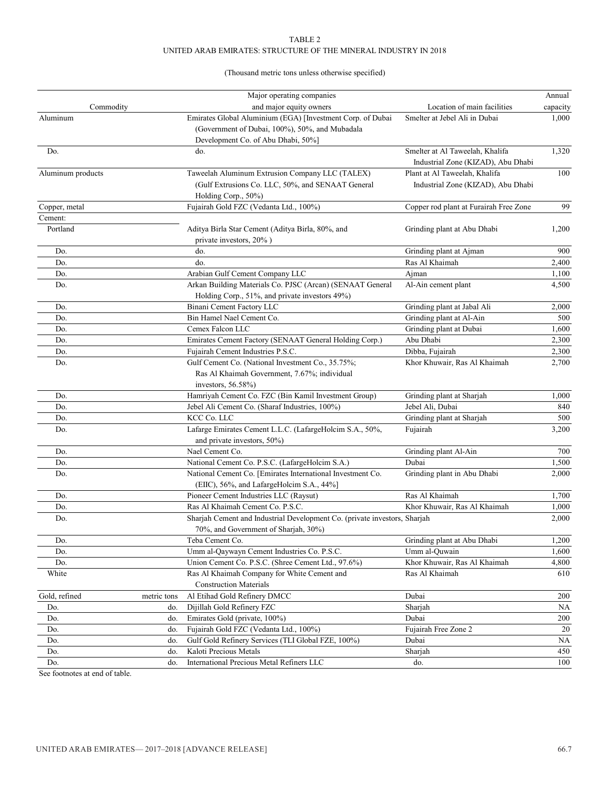#### TABLE 2 UNITED ARAB EMIRATES: STRUCTURE OF THE MINERAL INDUSTRY IN 2018

#### (Thousand metric tons unless otherwise specified)

|                   |             | Major operating companies                                                 |                                        | Annual   |
|-------------------|-------------|---------------------------------------------------------------------------|----------------------------------------|----------|
| Commodity         |             | and major equity owners                                                   | Location of main facilities            | capacity |
| Aluminum          |             | Emirates Global Aluminium (EGA) [Investment Corp. of Dubai                | Smelter at Jebel Ali in Dubai          | 1,000    |
|                   |             | (Government of Dubai, 100%), 50%, and Mubadala                            |                                        |          |
|                   |             | Development Co. of Abu Dhabi, 50%]                                        |                                        |          |
| Do.               |             | do.                                                                       | Smelter at Al Taweelah, Khalifa        | 1,320    |
|                   |             |                                                                           | Industrial Zone (KIZAD), Abu Dhabi     |          |
| Aluminum products |             | Taweelah Aluminum Extrusion Company LLC (TALEX)                           | Plant at Al Taweelah, Khalifa          | 100      |
|                   |             | (Gulf Extrusions Co. LLC, 50%, and SENAAT General                         | Industrial Zone (KIZAD), Abu Dhabi     |          |
|                   |             | Holding Corp., 50%)                                                       |                                        |          |
| Copper, metal     |             | Fujairah Gold FZC (Vedanta Ltd., 100%)                                    | Copper rod plant at Furairah Free Zone | 99       |
| Cement:           |             |                                                                           |                                        |          |
| Portland          |             | Aditya Birla Star Cement (Aditya Birla, 80%, and                          | Grinding plant at Abu Dhabi            | 1,200    |
|                   |             | private investors, 20%)                                                   |                                        |          |
| Do.               |             | do.                                                                       | Grinding plant at Ajman                | 900      |
| Do.               |             | do.                                                                       | Ras Al Khaimah                         | 2,400    |
| Do.               |             | Arabian Gulf Cement Company LLC                                           | Ajman                                  | 1,100    |
| Do.               |             | Arkan Building Materials Co. PJSC (Arcan) (SENAAT General                 | Al-Ain cement plant                    | 4,500    |
|                   |             | Holding Corp., 51%, and private investors 49%)                            |                                        |          |
| Do.               |             | Binani Cement Factory LLC                                                 | Grinding plant at Jabal Ali            | 2,000    |
| Do.               |             | Bin Hamel Nael Cement Co.                                                 | Grinding plant at Al-Ain               | 500      |
| Do.               |             | Cemex Falcon LLC                                                          | Grinding plant at Dubai                | 1,600    |
| Do.               |             | Emirates Cement Factory (SENAAT General Holding Corp.)                    | Abu Dhabi                              | 2,300    |
| Do.               |             | Fujairah Cement Industries P.S.C.                                         | Dibba, Fujairah                        | 2,300    |
| Do.               |             | Gulf Cement Co. (National Investment Co., 35.75%;                         | Khor Khuwair, Ras Al Khaimah           | 2,700    |
|                   |             | Ras Al Khaimah Government, 7.67%; individual                              |                                        |          |
|                   |             | investors, $56.58\%$ )                                                    |                                        |          |
| Do.               |             | Hamriyah Cement Co. FZC (Bin Kamil Investment Group)                      | Grinding plant at Sharjah              | 1,000    |
| Do.               |             | Jebel Ali Cement Co. (Sharaf Industries, 100%)                            | Jebel Ali, Dubai                       | 840      |
| Do.               |             | KCC Co. LLC                                                               | Grinding plant at Sharjah              | 500      |
| Do.               |             | Lafarge Emirates Cement L.L.C. (LafargeHolcim S.A., 50%,                  | Fujairah                               | 3,200    |
|                   |             | and private investors, 50%)                                               |                                        |          |
| Do.               |             | Nael Cement Co.                                                           | Grinding plant Al-Ain                  | 700      |
| Do.               |             | National Cement Co. P.S.C. (LafargeHolcim S.A.)                           | Dubai                                  | 1,500    |
| Do.               |             | National Cement Co. [Emirates International Investment Co.                | Grinding plant in Abu Dhabi            | 2,000    |
|                   |             | (EIIC), 56%, and LafargeHolcim S.A., 44%]                                 |                                        |          |
| Do.               |             | Pioneer Cement Industries LLC (Raysut)                                    | Ras Al Khaimah                         | 1,700    |
| Do.               |             | Ras Al Khaimah Cement Co. P.S.C.                                          | Khor Khuwair, Ras Al Khaimah           | 1,000    |
| Do.               |             | Sharjah Cement and Industrial Development Co. (private investors, Sharjah |                                        | 2,000    |
|                   |             | 70%, and Government of Sharjah, 30%)                                      |                                        |          |
| Do.               |             | Teba Cement Co.                                                           | Grinding plant at Abu Dhabi            | 1,200    |
| Do.               |             | Umm al-Qaywayn Cement Industries Co. P.S.C.                               | Umm al-Quwain                          | 1,600    |
| Do.               |             | Union Cement Co. P.S.C. (Shree Cement Ltd., 97.6%)                        | Khor Khuwair, Ras Al Khaimah           | 4,800    |
| White             |             | Ras Al Khaimah Company for White Cement and                               | Ras Al Khaimah                         | 610      |
|                   |             | <b>Construction Materials</b>                                             |                                        |          |
| Gold, refined     | metric tons | Al Etihad Gold Refinery DMCC                                              | Dubai                                  | 200      |
| Do.               | do.         | Dijillah Gold Refinery FZC                                                | Sharjah                                | NA       |
| Do.               | do.         | Emirates Gold (private, 100%)                                             | Dubai                                  | 200      |
| Do.               | do.         | Fujairah Gold FZC (Vedanta Ltd., 100%)                                    | Fujairah Free Zone 2                   | 20       |
| Do.               | do.         | Gulf Gold Refinery Services (TLI Global FZE, 100%)                        | Dubai                                  | NA       |
| Do.               | do.         | Kaloti Precious Metals                                                    | Sharjah                                | 450      |
| Do.               | do.         | International Precious Metal Refiners LLC                                 | do.                                    | 100      |

See footnotes at end of table.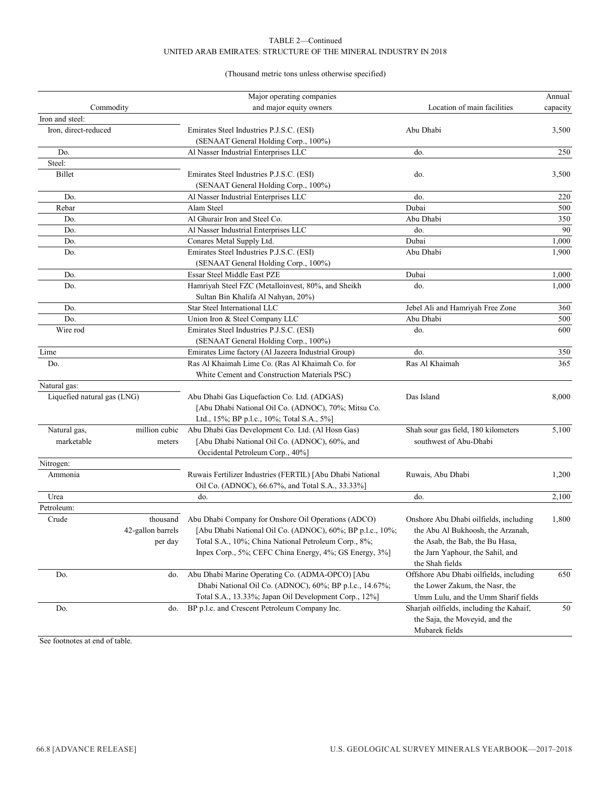#### TABLE 2—Continued UNITED ARAB EMIRATES: STRUCTURE OF THE MINERAL INDUSTRY IN 2018

#### (Thousand metric tons unless otherwise specified)

|                             |                   | Major operating companies                                 |                                          | Annual   |
|-----------------------------|-------------------|-----------------------------------------------------------|------------------------------------------|----------|
| Commodity                   |                   | and major equity owners                                   | Location of main facilities              | capacity |
| Iron and steel:             |                   |                                                           |                                          |          |
| Iron, direct-reduced        |                   | Emirates Steel Industries P.J.S.C. (ESI)                  | Abu Dhabi                                | 3,500    |
|                             |                   | (SENAAT General Holding Corp., 100%)                      |                                          |          |
| Do.                         |                   | Al Nasser Industrial Enterprises LLC                      | do.                                      | 250      |
| Steel:                      |                   |                                                           |                                          |          |
| Billet                      |                   | Emirates Steel Industries P.J.S.C. (ESI)                  | do.                                      | 3,500    |
|                             |                   | (SENAAT General Holding Corp., 100%)                      |                                          |          |
| Do.                         |                   | Al Nasser Industrial Enterprises LLC                      | do.                                      | 220      |
| Rebar                       |                   | Alam Steel                                                | Dubai                                    | 500      |
| Do.                         |                   | Al Ghurair Iron and Steel Co.                             | Abu Dhabi                                | 350      |
| Do.                         |                   | Al Nasser Industrial Enterprises LLC                      | do.                                      | 90       |
| Do.                         |                   | Conares Metal Supply Ltd.                                 | Dubai                                    | 1,000    |
| Do.                         |                   | Emirates Steel Industries P.J.S.C. (ESI)                  | Abu Dhabi                                | 1,900    |
|                             |                   | (SENAAT General Holding Corp., 100%)                      |                                          |          |
| Do.                         |                   | Essar Steel Middle East PZE                               | Dubai                                    | 1,000    |
| Do.                         |                   | Hamriyah Steel FZC (Metalloinvest, 80%, and Sheikh        | do.                                      | 1,000    |
|                             |                   | Sultan Bin Khalifa Al Nahyan, 20%)                        |                                          |          |
| Do.                         |                   | Star Steel International LLC                              | Jebel Ali and Hamriyah Free Zone         | 360      |
| Do.                         |                   | Union Iron & Steel Company LLC                            | Abu Dhabi                                | 500      |
| Wire rod                    |                   | Emirates Steel Industries P.J.S.C. (ESI)                  | do.                                      | 600      |
|                             |                   | (SENAAT General Holding Corp., 100%)                      |                                          |          |
| Lime                        |                   | Emirates Lime factory (Al Jazeera Industrial Group)       | do.                                      | 350      |
| Do.                         |                   | Ras Al Khaimah Lime Co. (Ras Al Khaimah Co. for           | Ras Al Khaimah                           | 365      |
|                             |                   | White Cement and Construction Materials PSC)              |                                          |          |
| Natural gas:                |                   |                                                           |                                          |          |
| Liquefied natural gas (LNG) |                   | Abu Dhabi Gas Liquefaction Co. Ltd. (ADGAS)               | Das Island                               | 8,000    |
|                             |                   | [Abu Dhabi National Oil Co. (ADNOC), 70%; Mitsu Co.       |                                          |          |
|                             |                   | Ltd., 15%; BP p.l.c., 10%; Total S.A., 5%]                |                                          |          |
| Natural gas,                | million cubic     | Abu Dhabi Gas Development Co. Ltd. (Al Hosn Gas)          | Shah sour gas field, 180 kilometers      | 5,100    |
| marketable                  | meters            | [Abu Dhabi National Oil Co. (ADNOC), 60%, and             | southwest of Abu-Dhabi                   |          |
|                             |                   | Occidental Petroleum Corp., 40%]                          |                                          |          |
| Nitrogen:                   |                   |                                                           |                                          |          |
| Ammonia                     |                   | Ruwais Fertilizer Industries (FERTIL) [Abu Dhabi National | Ruwais, Abu Dhabi                        | 1,200    |
|                             |                   | Oil Co. (ADNOC), 66.67%, and Total S.A., 33.33%]          |                                          |          |
| Urea                        |                   | do.                                                       | do.                                      | 2,100    |
| Petroleum:                  |                   |                                                           |                                          |          |
| Crude                       | thousand          | Abu Dhabi Company for Onshore Oil Operations (ADCO)       | Onshore Abu Dhabi oilfields, including   | 1,800    |
|                             | 42-gallon barrels | [Abu Dhabi National Oil Co. (ADNOC), 60%; BP p.l.c., 10%; | the Abu Al Bukhoosh, the Arzanah,        |          |
|                             | per day           | Total S.A., 10%; China National Petroleum Corp., 8%;      | the Asab, the Bab, the Bu Hasa,          |          |
|                             |                   | Inpex Corp., 5%; CEFC China Energy, 4%; GS Energy, 3%]    | the Jarn Yaphour, the Sahil, and         |          |
|                             |                   |                                                           | the Shah fields                          |          |
| Do.                         | do.               | Abu Dhabi Marine Operating Co. (ADMA-OPCO) [Abu           | Offshore Abu Dhabi oilfields, including  | 650      |
|                             |                   | Dhabi National Oil Co. (ADNOC), 60%; BP p.l.c., 14.67%;   | the Lower Zakum, the Nasr, the           |          |
|                             |                   | Total S.A., 13.33%; Japan Oil Development Corp., 12%]     | Umm Lulu, and the Umm Sharif fields      |          |
| Do.                         | do.               | BP p.l.c. and Crescent Petroleum Company Inc.             | Sharjah oilfields, including the Kahaif, | 50       |
|                             |                   |                                                           | the Saja, the Moveyid, and the           |          |
|                             |                   |                                                           | Mubarek fields                           |          |

See footnotes at end of table.